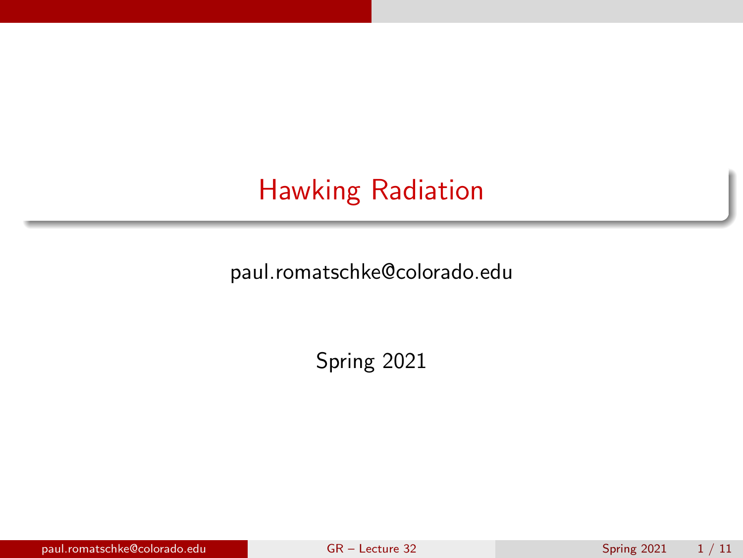# <span id="page-0-0"></span>Hawking Radiation

paul.romatschke@colorado.edu

Spring 2021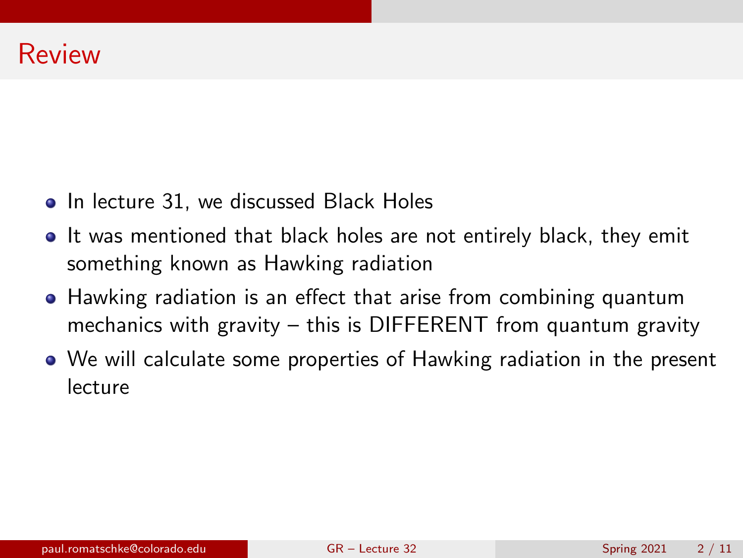- In lecture 31, we discussed Black Holes
- **If was mentioned that black holes are not entirely black, they emit** something known as Hawking radiation
- Hawking radiation is an effect that arise from combining quantum mechanics with gravity – this is DIFFERENT from quantum gravity
- We will calculate some properties of Hawking radiation in the present lecture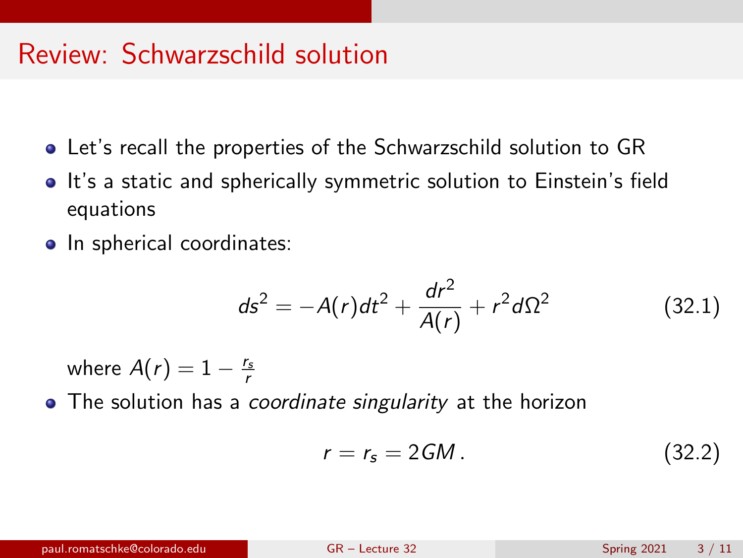## Review: Schwarzschild solution

- Let's recall the properties of the Schwarzschild solution to GR
- It's a static and spherically symmetric solution to Einstein's field equations
- In spherical coordinates:

<span id="page-2-0"></span>
$$
ds^{2} = -A(r)dt^{2} + \frac{dr^{2}}{A(r)} + r^{2}d\Omega^{2}
$$
 (32.1)

where  $A(r) = 1 - \frac{r_s}{r}$ 

• The solution has a *coordinate singularity* at the horizon

$$
r = r_s = 2GM. \tag{32.2}
$$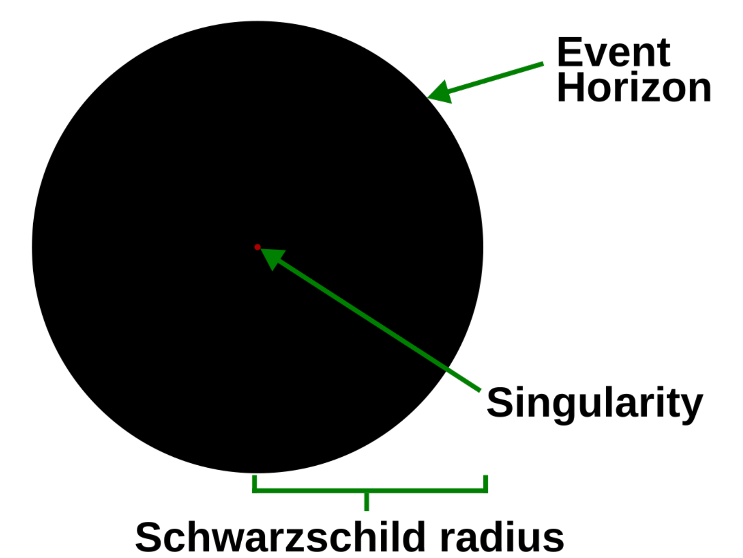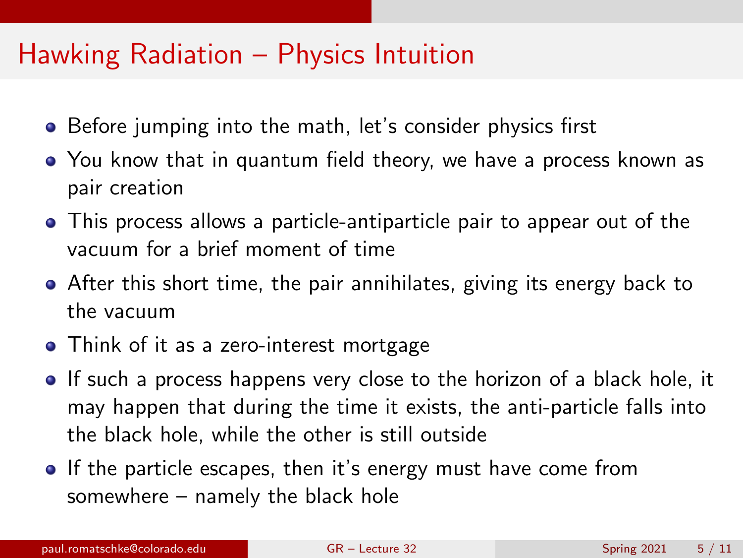#### Hawking Radiation – Physics Intuition

- Before jumping into the math, let's consider physics first
- You know that in quantum field theory, we have a process known as pair creation
- This process allows a particle-antiparticle pair to appear out of the vacuum for a brief moment of time
- After this short time, the pair annihilates, giving its energy back to the vacuum
- Think of it as a zero-interest mortgage
- If such a process happens very close to the horizon of a black hole, it may happen that during the time it exists, the anti-particle falls into the black hole, while the other is still outside
- **If the particle escapes, then it's energy must have come from** somewhere – namely the black hole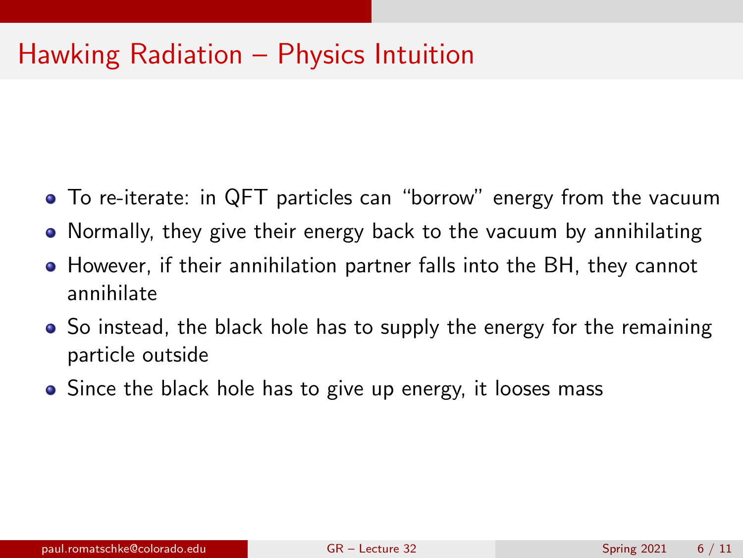## Hawking Radiation – Physics Intuition

- To re-iterate: in QFT particles can "borrow" energy from the vacuum
- Normally, they give their energy back to the vacuum by annihilating
- However, if their annihilation partner falls into the BH, they cannot annihilate
- So instead, the black hole has to supply the energy for the remaining particle outside
- Since the black hole has to give up energy, it looses mass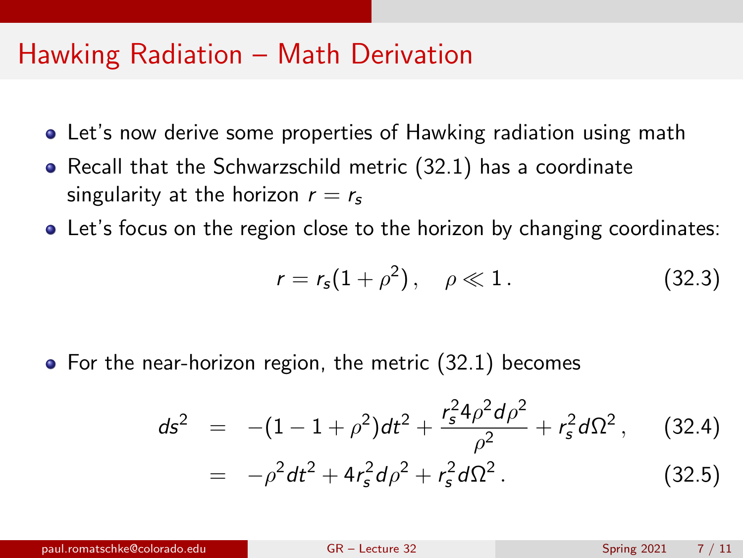#### Hawking Radiation – Math Derivation

- Let's now derive some properties of Hawking radiation using math
- Recall that the Schwarzschild metric [\(32.1\)](#page-2-0) has a coordinate singularity at the horizon  $r = r_s$
- Let's focus on the region close to the horizon by changing coordinates:

$$
r = r_s(1 + \rho^2), \quad \rho \ll 1.
$$
 (32.3)

• For the near-horizon region, the metric [\(32.1\)](#page-2-0) becomes

$$
ds^{2} = -(1 - 1 + \rho^{2})dt^{2} + \frac{r_{s}^{2}4\rho^{2}d\rho^{2}}{\rho^{2}} + r_{s}^{2}d\Omega^{2},
$$
 (32.4)  

$$
= -\rho^{2}dt^{2} + 4r_{s}^{2}d\rho^{2} + r_{s}^{2}d\Omega^{2}.
$$
 (32.5)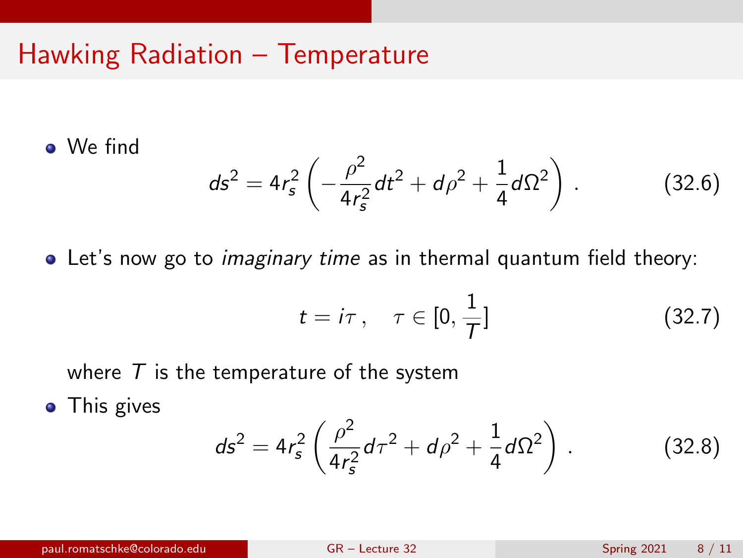## Hawking Radiation – Temperature

We find

$$
ds^{2} = 4r_{s}^{2} \left( -\frac{\rho^{2}}{4r_{s}^{2}} dt^{2} + d\rho^{2} + \frac{1}{4} d\Omega^{2} \right).
$$
 (32.6)

• Let's now go to *imaginary time* as in thermal quantum field theory:

<span id="page-7-0"></span>
$$
t = i\tau \,, \quad \tau \in [0, \frac{1}{\tau}] \tag{32.7}
$$

where  $T$  is the temperature of the system

• This gives

$$
ds^{2} = 4r_{s}^{2} \left( \frac{\rho^{2}}{4r_{s}^{2}} d\tau^{2} + d\rho^{2} + \frac{1}{4} d\Omega^{2} \right).
$$
 (32.8)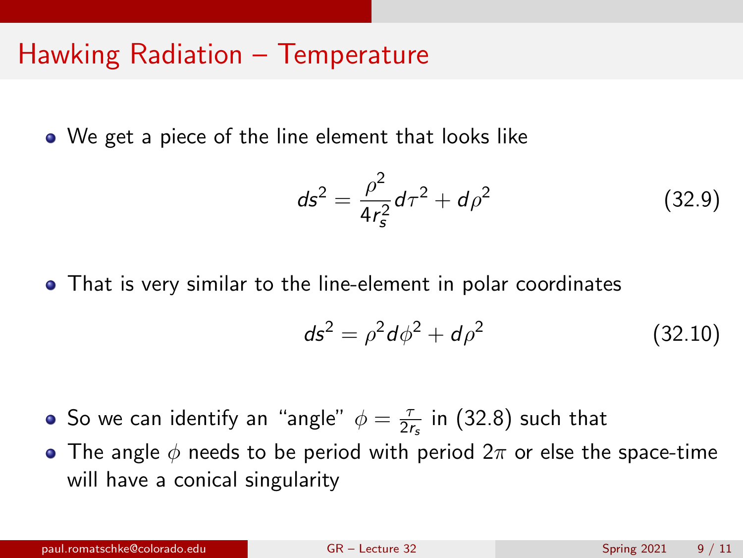## Hawking Radiation – Temperature

We get a piece of the line element that looks like

$$
ds^2 = \frac{\rho^2}{4r_s^2}d\tau^2 + d\rho^2
$$
 (32.9)

That is very similar to the line-element in polar coordinates

$$
ds^2 = \rho^2 d\phi^2 + d\rho^2 \tag{32.10}
$$

- So we can identify an "angle"  $\phi = \frac{7}{2}$  $\frac{\tau}{2r_{\rm s}}$  in [\(32.8\)](#page-7-0) such that
- The angle  $\phi$  needs to be period with period  $2\pi$  or else the space-time will have a conical singularity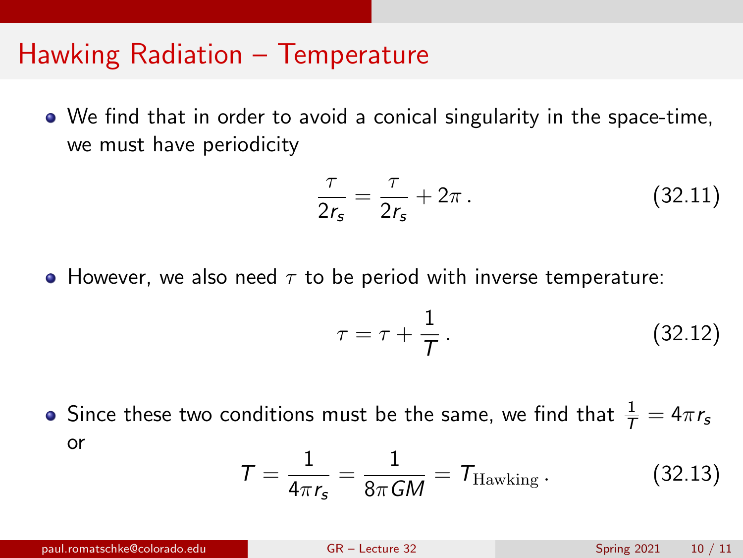#### Hawking Radiation – Temperature

We find that in order to avoid a conical singularity in the space-time, we must have periodicity

$$
\frac{\tau}{2r_s} = \frac{\tau}{2r_s} + 2\pi \,. \tag{32.11}
$$

• However, we also need  $\tau$  to be period with inverse temperature:

$$
\tau = \tau + \frac{1}{T} \,. \tag{32.12}
$$

Since these two conditions must be the same, we find that  $\frac{1}{\mathcal{T}} = 4\pi r_\mathsf{s}$ or

$$
T = \frac{1}{4\pi r_s} = \frac{1}{8\pi GM} = T_{\text{Hawking}}.
$$
 (32.13)